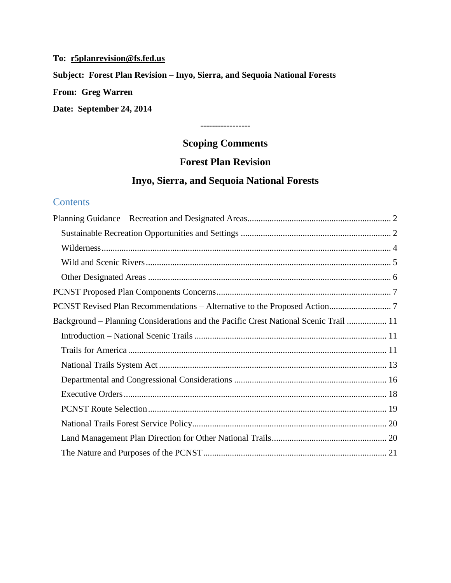# **To: [r5planrevision@fs.fed.us](mailto:r5planrevision@fs.fed.us) Subject: Forest Plan Revision – Inyo, Sierra, and Sequoia National Forests From: Greg Warren Date: September 24, 2014**

# **Scoping Comments**

-----------------

# **Forest Plan Revision**

# **Inyo, Sierra, and Sequoia National Forests**

# **Contents**

| Background – Planning Considerations and the Pacific Crest National Scenic Trail  11 |
|--------------------------------------------------------------------------------------|
|                                                                                      |
|                                                                                      |
|                                                                                      |
|                                                                                      |
|                                                                                      |
|                                                                                      |
|                                                                                      |
|                                                                                      |
|                                                                                      |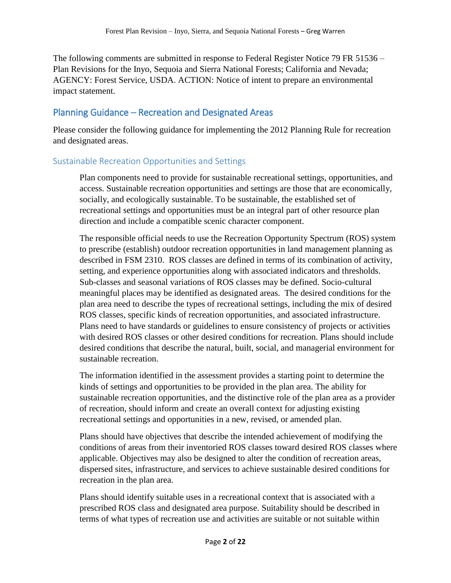The following comments are submitted in response to Federal Register Notice 79 FR 51536 – Plan Revisions for the Inyo, Sequoia and Sierra National Forests; California and Nevada; AGENCY: Forest Service, USDA. ACTION: Notice of intent to prepare an environmental impact statement.

# <span id="page-1-0"></span>Planning Guidance – Recreation and Designated Areas

Please consider the following guidance for implementing the 2012 Planning Rule for recreation and designated areas.

# <span id="page-1-1"></span>Sustainable Recreation Opportunities and Settings

Plan components need to provide for sustainable recreational settings, opportunities, and access. Sustainable recreation opportunities and settings are those that are economically, socially, and ecologically sustainable. To be sustainable, the established set of recreational settings and opportunities must be an integral part of other resource plan direction and include a compatible scenic character component.

The responsible official needs to use the Recreation Opportunity Spectrum (ROS) system to prescribe (establish) outdoor recreation opportunities in land management planning as described in FSM 2310. ROS classes are defined in terms of its combination of activity, setting, and experience opportunities along with associated indicators and thresholds. Sub-classes and seasonal variations of ROS classes may be defined. Socio-cultural meaningful places may be identified as designated areas. The desired conditions for the plan area need to describe the types of recreational settings, including the mix of desired ROS classes, specific kinds of recreation opportunities, and associated infrastructure. Plans need to have standards or guidelines to ensure consistency of projects or activities with desired ROS classes or other desired conditions for recreation. Plans should include desired conditions that describe the natural, built, social, and managerial environment for sustainable recreation.

The information identified in the assessment provides a starting point to determine the kinds of settings and opportunities to be provided in the plan area. The ability for sustainable recreation opportunities, and the distinctive role of the plan area as a provider of recreation, should inform and create an overall context for adjusting existing recreational settings and opportunities in a new, revised, or amended plan.

Plans should have objectives that describe the intended achievement of modifying the conditions of areas from their inventoried ROS classes toward desired ROS classes where applicable. Objectives may also be designed to alter the condition of recreation areas, dispersed sites, infrastructure, and services to achieve sustainable desired conditions for recreation in the plan area.

Plans should identify suitable uses in a recreational context that is associated with a prescribed ROS class and designated area purpose. Suitability should be described in terms of what types of recreation use and activities are suitable or not suitable within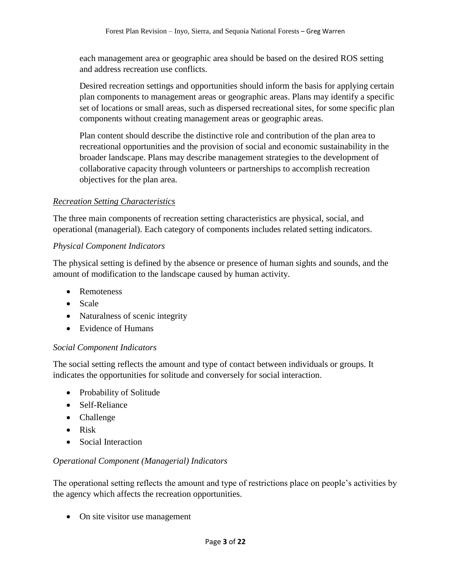each management area or geographic area should be based on the desired ROS setting and address recreation use conflicts.

Desired recreation settings and opportunities should inform the basis for applying certain plan components to management areas or geographic areas. Plans may identify a specific set of locations or small areas, such as dispersed recreational sites, for some specific plan components without creating management areas or geographic areas.

Plan content should describe the distinctive role and contribution of the plan area to recreational opportunities and the provision of social and economic sustainability in the broader landscape. Plans may describe management strategies to the development of collaborative capacity through volunteers or partnerships to accomplish recreation objectives for the plan area.

#### *Recreation Setting Characteristics*

The three main components of recreation setting characteristics are physical, social, and operational (managerial). Each category of components includes related setting indicators.

#### *Physical Component Indicators*

The physical setting is defined by the absence or presence of human sights and sounds, and the amount of modification to the landscape caused by human activity.

- Remoteness
- Scale
- Naturalness of scenic integrity
- Evidence of Humans

#### *Social Component Indicators*

The social setting reflects the amount and type of contact between individuals or groups. It indicates the opportunities for solitude and conversely for social interaction.

- Probability of Solitude
- Self-Reliance
- Challenge
- Risk
- Social Interaction

### *Operational Component (Managerial) Indicators*

The operational setting reflects the amount and type of restrictions place on people's activities by the agency which affects the recreation opportunities.

• On site visitor use management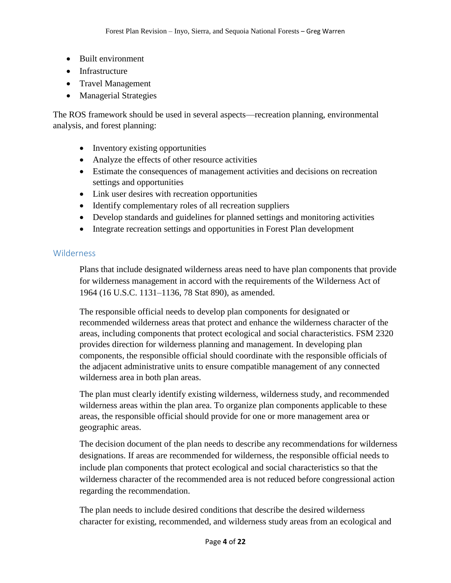- Built environment
- Infrastructure
- Travel Management
- Managerial Strategies

The ROS framework should be used in several aspects—recreation planning, environmental analysis, and forest planning:

- Inventory existing opportunities
- Analyze the effects of other resource activities
- Estimate the consequences of management activities and decisions on recreation settings and opportunities
- Link user desires with recreation opportunities
- Identify complementary roles of all recreation suppliers
- Develop standards and guidelines for planned settings and monitoring activities
- Integrate recreation settings and opportunities in Forest Plan development

### <span id="page-3-0"></span>**Wilderness**

Plans that include designated wilderness areas need to have plan components that provide for wilderness management in accord with the requirements of the Wilderness Act of 1964 (16 U.S.C. 1131–1136, 78 Stat 890), as amended.

The responsible official needs to develop plan components for designated or recommended wilderness areas that protect and enhance the wilderness character of the areas, including components that protect ecological and social characteristics. FSM 2320 provides direction for wilderness planning and management. In developing plan components, the responsible official should coordinate with the responsible officials of the adjacent administrative units to ensure compatible management of any connected wilderness area in both plan areas.

The plan must clearly identify existing wilderness, wilderness study, and recommended wilderness areas within the plan area. To organize plan components applicable to these areas, the responsible official should provide for one or more management area or geographic areas.

The decision document of the plan needs to describe any recommendations for wilderness designations. If areas are recommended for wilderness, the responsible official needs to include plan components that protect ecological and social characteristics so that the wilderness character of the recommended area is not reduced before congressional action regarding the recommendation.

The plan needs to include desired conditions that describe the desired wilderness character for existing, recommended, and wilderness study areas from an ecological and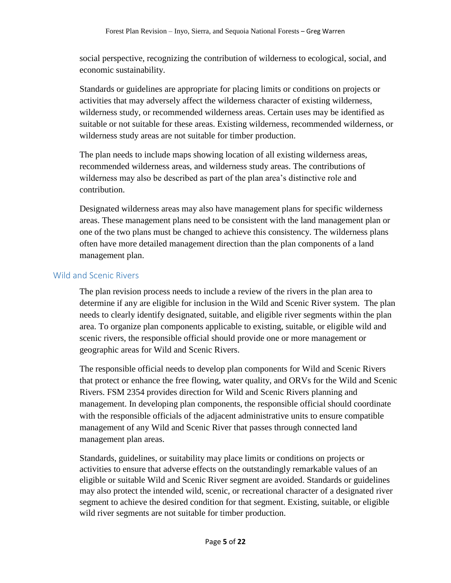social perspective, recognizing the contribution of wilderness to ecological, social, and economic sustainability.

Standards or guidelines are appropriate for placing limits or conditions on projects or activities that may adversely affect the wilderness character of existing wilderness, wilderness study, or recommended wilderness areas. Certain uses may be identified as suitable or not suitable for these areas. Existing wilderness, recommended wilderness, or wilderness study areas are not suitable for timber production.

The plan needs to include maps showing location of all existing wilderness areas, recommended wilderness areas, and wilderness study areas. The contributions of wilderness may also be described as part of the plan area's distinctive role and contribution.

Designated wilderness areas may also have management plans for specific wilderness areas. These management plans need to be consistent with the land management plan or one of the two plans must be changed to achieve this consistency. The wilderness plans often have more detailed management direction than the plan components of a land management plan.

### <span id="page-4-0"></span>Wild and Scenic Rivers

The plan revision process needs to include a review of the rivers in the plan area to determine if any are eligible for inclusion in the Wild and Scenic River system. The plan needs to clearly identify designated, suitable, and eligible river segments within the plan area. To organize plan components applicable to existing, suitable, or eligible wild and scenic rivers, the responsible official should provide one or more management or geographic areas for Wild and Scenic Rivers.

The responsible official needs to develop plan components for Wild and Scenic Rivers that protect or enhance the free flowing, water quality, and ORVs for the Wild and Scenic Rivers. FSM 2354 provides direction for Wild and Scenic Rivers planning and management. In developing plan components, the responsible official should coordinate with the responsible officials of the adjacent administrative units to ensure compatible management of any Wild and Scenic River that passes through connected land management plan areas.

Standards, guidelines, or suitability may place limits or conditions on projects or activities to ensure that adverse effects on the outstandingly remarkable values of an eligible or suitable Wild and Scenic River segment are avoided. Standards or guidelines may also protect the intended wild, scenic, or recreational character of a designated river segment to achieve the desired condition for that segment. Existing, suitable, or eligible wild river segments are not suitable for timber production.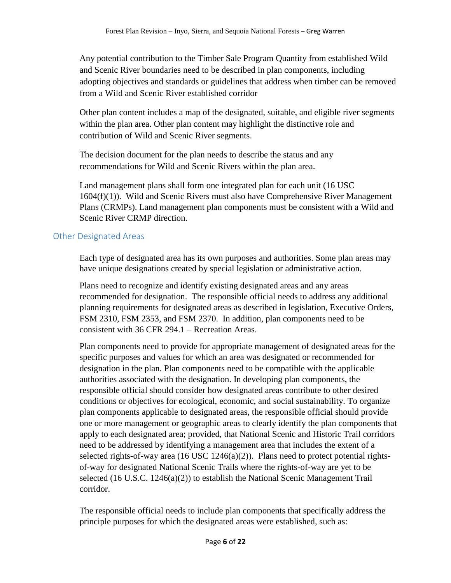Any potential contribution to the Timber Sale Program Quantity from established Wild and Scenic River boundaries need to be described in plan components, including adopting objectives and standards or guidelines that address when timber can be removed from a Wild and Scenic River established corridor

Other plan content includes a map of the designated, suitable, and eligible river segments within the plan area. Other plan content may highlight the distinctive role and contribution of Wild and Scenic River segments.

The decision document for the plan needs to describe the status and any recommendations for Wild and Scenic Rivers within the plan area.

Land management plans shall form one integrated plan for each unit (16 USC 1604(f)(1)). Wild and Scenic Rivers must also have Comprehensive River Management Plans (CRMPs). Land management plan components must be consistent with a Wild and Scenic River CRMP direction.

### <span id="page-5-0"></span>Other Designated Areas

Each type of designated area has its own purposes and authorities. Some plan areas may have unique designations created by special legislation or administrative action.

Plans need to recognize and identify existing designated areas and any areas recommended for designation. The responsible official needs to address any additional planning requirements for designated areas as described in legislation, Executive Orders, FSM 2310, FSM 2353, and FSM 2370. In addition, plan components need to be consistent with 36 CFR 294.1 – Recreation Areas.

Plan components need to provide for appropriate management of designated areas for the specific purposes and values for which an area was designated or recommended for designation in the plan. Plan components need to be compatible with the applicable authorities associated with the designation. In developing plan components, the responsible official should consider how designated areas contribute to other desired conditions or objectives for ecological, economic, and social sustainability. To organize plan components applicable to designated areas, the responsible official should provide one or more management or geographic areas to clearly identify the plan components that apply to each designated area; provided, that National Scenic and Historic Trail corridors need to be addressed by identifying a management area that includes the extent of a selected rights-of-way area  $(16$  USC  $1246(a)(2)$ ). Plans need to protect potential rightsof-way for designated National Scenic Trails where the rights-of-way are yet to be selected (16 U.S.C. 1246(a)(2)) to establish the National Scenic Management Trail corridor.

The responsible official needs to include plan components that specifically address the principle purposes for which the designated areas were established, such as: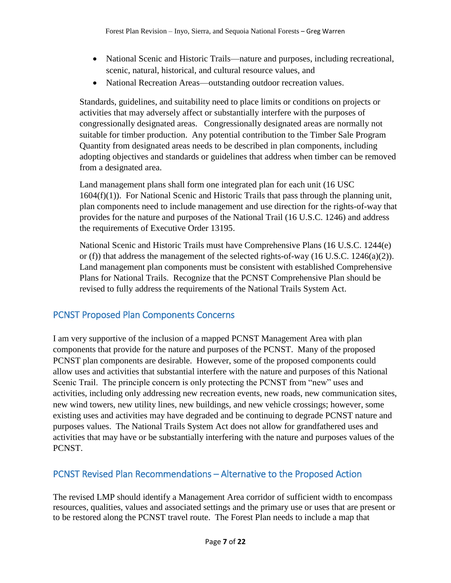- National Scenic and Historic Trails—nature and purposes, including recreational, scenic, natural, historical, and cultural resource values, and
- National Recreation Areas—outstanding outdoor recreation values.

Standards, guidelines, and suitability need to place limits or conditions on projects or activities that may adversely affect or substantially interfere with the purposes of congressionally designated areas. Congressionally designated areas are normally not suitable for timber production. Any potential contribution to the Timber Sale Program Quantity from designated areas needs to be described in plan components, including adopting objectives and standards or guidelines that address when timber can be removed from a designated area.

Land management plans shall form one integrated plan for each unit (16 USC 1604(f)(1)). For National Scenic and Historic Trails that pass through the planning unit, plan components need to include management and use direction for the rights-of-way that provides for the nature and purposes of the National Trail (16 U.S.C. 1246) and address the requirements of Executive Order 13195.

National Scenic and Historic Trails must have Comprehensive Plans (16 U.S.C. 1244(e) or (f)) that address the management of the selected rights-of-way (16 U.S.C. 1246(a)(2)). Land management plan components must be consistent with established Comprehensive Plans for National Trails. Recognize that the PCNST Comprehensive Plan should be revised to fully address the requirements of the National Trails System Act.

# <span id="page-6-0"></span>PCNST Proposed Plan Components Concerns

I am very supportive of the inclusion of a mapped PCNST Management Area with plan components that provide for the nature and purposes of the PCNST. Many of the proposed PCNST plan components are desirable. However, some of the proposed components could allow uses and activities that substantial interfere with the nature and purposes of this National Scenic Trail. The principle concern is only protecting the PCNST from "new" uses and activities, including only addressing new recreation events, new roads, new communication sites, new wind towers, new utility lines, new buildings, and new vehicle crossings; however, some existing uses and activities may have degraded and be continuing to degrade PCNST nature and purposes values. The National Trails System Act does not allow for grandfathered uses and activities that may have or be substantially interfering with the nature and purposes values of the PCNST.

# <span id="page-6-1"></span>PCNST Revised Plan Recommendations – Alternative to the Proposed Action

The revised LMP should identify a Management Area corridor of sufficient width to encompass resources, qualities, values and associated settings and the primary use or uses that are present or to be restored along the PCNST travel route. The Forest Plan needs to include a map that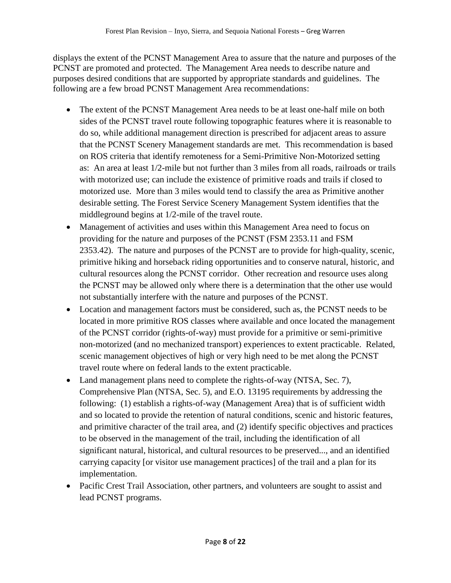displays the extent of the PCNST Management Area to assure that the nature and purposes of the PCNST are promoted and protected. The Management Area needs to describe nature and purposes desired conditions that are supported by appropriate standards and guidelines. The following are a few broad PCNST Management Area recommendations:

- The extent of the PCNST Management Area needs to be at least one-half mile on both sides of the PCNST travel route following topographic features where it is reasonable to do so, while additional management direction is prescribed for adjacent areas to assure that the PCNST Scenery Management standards are met. This recommendation is based on ROS criteria that identify remoteness for a Semi-Primitive Non-Motorized setting as: An area at least 1/2-mile but not further than 3 miles from all roads, railroads or trails with motorized use; can include the existence of primitive roads and trails if closed to motorized use. More than 3 miles would tend to classify the area as Primitive another desirable setting. The Forest Service Scenery Management System identifies that the middleground begins at 1/2-mile of the travel route.
- Management of activities and uses within this Management Area need to focus on providing for the nature and purposes of the PCNST (FSM 2353.11 and FSM 2353.42). The nature and purposes of the PCNST are to provide for high-quality, scenic, primitive hiking and horseback riding opportunities and to conserve natural, historic, and cultural resources along the PCNST corridor. Other recreation and resource uses along the PCNST may be allowed only where there is a determination that the other use would not substantially interfere with the nature and purposes of the PCNST.
- Location and management factors must be considered, such as, the PCNST needs to be located in more primitive ROS classes where available and once located the management of the PCNST corridor (rights-of-way) must provide for a primitive or semi-primitive non-motorized (and no mechanized transport) experiences to extent practicable. Related, scenic management objectives of high or very high need to be met along the PCNST travel route where on federal lands to the extent practicable.
- Land management plans need to complete the rights-of-way (NTSA, Sec. 7), Comprehensive Plan (NTSA, Sec. 5), and E.O. 13195 requirements by addressing the following: (1) establish a rights-of-way (Management Area) that is of sufficient width and so located to provide the retention of natural conditions, scenic and historic features, and primitive character of the trail area, and (2) identify specific objectives and practices to be observed in the management of the trail, including the identification of all significant natural, historical, and cultural resources to be preserved..., and an identified carrying capacity [or visitor use management practices] of the trail and a plan for its implementation.
- Pacific Crest Trail Association, other partners, and volunteers are sought to assist and lead PCNST programs.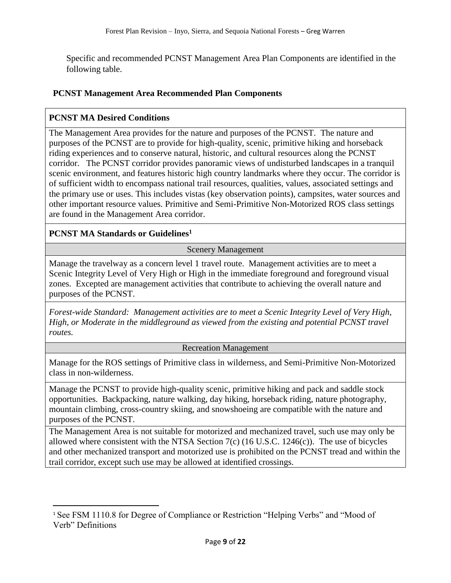Specific and recommended PCNST Management Area Plan Components are identified in the following table.

#### **PCNST Management Area Recommended Plan Components**

#### **PCNST MA Desired Conditions**

The Management Area provides for the nature and purposes of the PCNST. The nature and purposes of the PCNST are to provide for high-quality, scenic, primitive hiking and horseback riding experiences and to conserve natural, historic, and cultural resources along the PCNST corridor. The PCNST corridor provides panoramic views of undisturbed landscapes in a tranquil scenic environment, and features historic high country landmarks where they occur. The corridor is of sufficient width to encompass national trail resources, qualities, values, associated settings and the primary use or uses. This includes vistas (key observation points), campsites, water sources and other important resource values. Primitive and Semi-Primitive Non-Motorized ROS class settings are found in the Management Area corridor.

### **PCNST MA Standards or Guidelines<sup>1</sup>**

l

#### Scenery Management

Manage the travelway as a concern level 1 travel route. Management activities are to meet a Scenic Integrity Level of Very High or High in the immediate foreground and foreground visual zones. Excepted are management activities that contribute to achieving the overall nature and purposes of the PCNST.

*Forest-wide Standard: Management activities are to meet a Scenic Integrity Level of Very High, High, or Moderate in the middleground as viewed from the existing and potential PCNST travel routes.*

#### Recreation Management

Manage for the ROS settings of Primitive class in wilderness, and Semi-Primitive Non-Motorized class in non-wilderness.

Manage the PCNST to provide high-quality scenic, primitive hiking and pack and saddle stock opportunities. Backpacking, nature walking, day hiking, horseback riding, nature photography, mountain climbing, cross-country skiing, and snowshoeing are compatible with the nature and purposes of the PCNST.

The Management Area is not suitable for motorized and mechanized travel, such use may only be allowed where consistent with the NTSA Section  $7(c)$  (16 U.S.C. 1246(c)). The use of bicycles and other mechanized transport and motorized use is prohibited on the PCNST tread and within the trail corridor, except such use may be allowed at identified crossings.

<sup>1</sup> See FSM 1110.8 for Degree of Compliance or Restriction "Helping Verbs" and "Mood of Verb" Definitions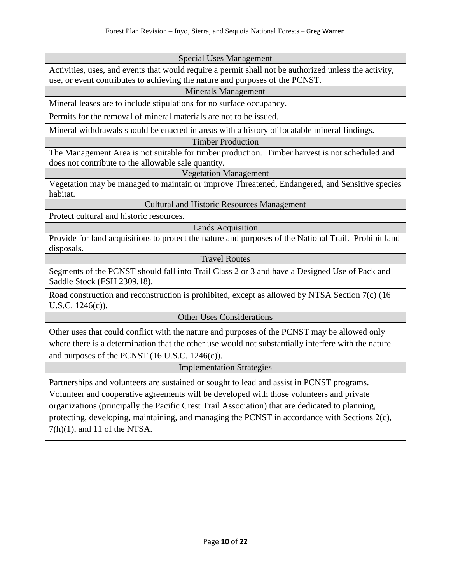#### Special Uses Management

Activities, uses, and events that would require a permit shall not be authorized unless the activity, use, or event contributes to achieving the nature and purposes of the PCNST.

#### Minerals Management

Mineral leases are to include stipulations for no surface occupancy.

Permits for the removal of mineral materials are not to be issued.

Mineral withdrawals should be enacted in areas with a history of locatable mineral findings.

#### Timber Production

The Management Area is not suitable for timber production. Timber harvest is not scheduled and does not contribute to the allowable sale quantity.

#### Vegetation Management

Vegetation may be managed to maintain or improve Threatened, Endangered, and Sensitive species habitat.

### Cultural and Historic Resources Management

Protect cultural and historic resources.

Lands Acquisition

Provide for land acquisitions to protect the nature and purposes of the National Trail. Prohibit land disposals.

Travel Routes

Segments of the PCNST should fall into Trail Class 2 or 3 and have a Designed Use of Pack and Saddle Stock (FSH 2309.18).

Road construction and reconstruction is prohibited, except as allowed by NTSA Section 7(c) (16 U.S.C. 1246(c)).

#### Other Uses Considerations

Other uses that could conflict with the nature and purposes of the PCNST may be allowed only where there is a determination that the other use would not substantially interfere with the nature and purposes of the PCNST (16 U.S.C. 1246(c)).

#### Implementation Strategies

Partnerships and volunteers are sustained or sought to lead and assist in PCNST programs. Volunteer and cooperative agreements will be developed with those volunteers and private organizations (principally the Pacific Crest Trail Association) that are dedicated to planning, protecting, developing, maintaining, and managing the PCNST in accordance with Sections 2(c), 7(h)(1), and 11 of the NTSA.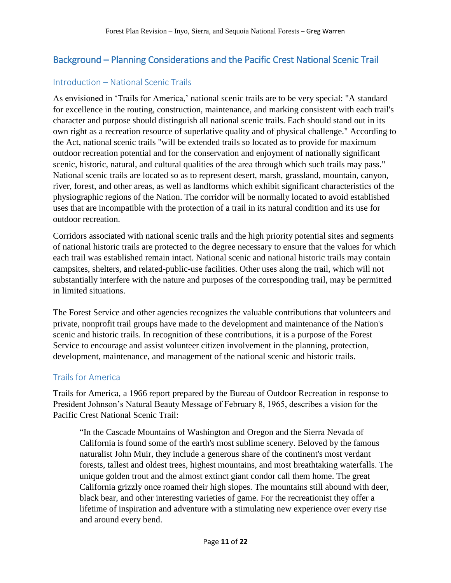# <span id="page-10-0"></span>Background – Planning Considerations and the Pacific Crest National Scenic Trail

### <span id="page-10-1"></span>Introduction – National Scenic Trails

As envisioned in 'Trails for America,' national scenic trails are to be very special: "A standard for excellence in the routing, construction, maintenance, and marking consistent with each trail's character and purpose should distinguish all national scenic trails. Each should stand out in its own right as a recreation resource of superlative quality and of physical challenge." According to the Act, national scenic trails "will be extended trails so located as to provide for maximum outdoor recreation potential and for the conservation and enjoyment of nationally significant scenic, historic, natural, and cultural qualities of the area through which such trails may pass." National scenic trails are located so as to represent desert, marsh, grassland, mountain, canyon, river, forest, and other areas, as well as landforms which exhibit significant characteristics of the physiographic regions of the Nation. The corridor will be normally located to avoid established uses that are incompatible with the protection of a trail in its natural condition and its use for outdoor recreation.

Corridors associated with national scenic trails and the high priority potential sites and segments of national historic trails are protected to the degree necessary to ensure that the values for which each trail was established remain intact. National scenic and national historic trails may contain campsites, shelters, and related-public-use facilities. Other uses along the trail, which will not substantially interfere with the nature and purposes of the corresponding trail, may be permitted in limited situations.

The Forest Service and other agencies recognizes the valuable contributions that volunteers and private, nonprofit trail groups have made to the development and maintenance of the Nation's scenic and historic trails. In recognition of these contributions, it is a purpose of the Forest Service to encourage and assist volunteer citizen involvement in the planning, protection, development, maintenance, and management of the national scenic and historic trails.

### <span id="page-10-2"></span>Trails for America

Trails for America, a 1966 report prepared by the Bureau of Outdoor Recreation in response to President Johnson's Natural Beauty Message of February 8, 1965, describes a vision for the Pacific Crest National Scenic Trail:

"In the Cascade Mountains of Washington and Oregon and the Sierra Nevada of California is found some of the earth's most sublime scenery. Beloved by the famous naturalist John Muir, they include a generous share of the continent's most verdant forests, tallest and oldest trees, highest mountains, and most breathtaking waterfalls. The unique golden trout and the almost extinct giant condor call them home. The great California grizzly once roamed their high slopes. The mountains still abound with deer, black bear, and other interesting varieties of game. For the recreationist they offer a lifetime of inspiration and adventure with a stimulating new experience over every rise and around every bend.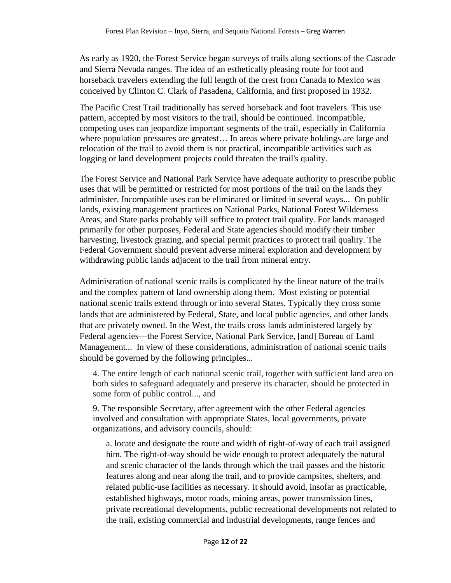As early as 1920, the Forest Service began surveys of trails along sections of the Cascade and Sierra Nevada ranges. The idea of an esthetically pleasing route for foot and horseback travelers extending the full length of the crest from Canada to Mexico was conceived by Clinton C. Clark of Pasadena, California, and first proposed in 1932.

The Pacific Crest Trail traditionally has served horseback and foot travelers. This use pattern, accepted by most visitors to the trail, should be continued. Incompatible, competing uses can jeopardize important segments of the trail, especially in California where population pressures are greatest… In areas where private holdings are large and relocation of the trail to avoid them is not practical, incompatible activities such as logging or land development projects could threaten the trail's quality.

The Forest Service and National Park Service have adequate authority to prescribe public uses that will be permitted or restricted for most portions of the trail on the lands they administer. Incompatible uses can be eliminated or limited in several ways... On public lands, existing management practices on National Parks, National Forest Wilderness Areas, and State parks probably will suffice to protect trail quality. For lands managed primarily for other purposes, Federal and State agencies should modify their timber harvesting, livestock grazing, and special permit practices to protect trail quality. The Federal Government should prevent adverse mineral exploration and development by withdrawing public lands adjacent to the trail from mineral entry.

Administration of national scenic trails is complicated by the linear nature of the trails and the complex pattern of land ownership along them. Most existing or potential national scenic trails extend through or into several States. Typically they cross some lands that are administered by Federal, State, and local public agencies, and other lands that are privately owned. In the West, the trails cross lands administered largely by Federal agencies—the Forest Service, National Park Service, [and] Bureau of Land Management... In view of these considerations, administration of national scenic trails should be governed by the following principles...

4. The entire length of each national scenic trail, together with sufficient land area on both sides to safeguard adequately and preserve its character, should be protected in some form of public control..., and

9. The responsible Secretary, after agreement with the other Federal agencies involved and consultation with appropriate States, local governments, private organizations, and advisory councils, should:

a. locate and designate the route and width of right-of-way of each trail assigned him. The right-of-way should be wide enough to protect adequately the natural and scenic character of the lands through which the trail passes and the historic features along and near along the trail, and to provide campsites, shelters, and related public-use facilities as necessary. It should avoid, insofar as practicable, established highways, motor roads, mining areas, power transmission lines, private recreational developments, public recreational developments not related to the trail, existing commercial and industrial developments, range fences and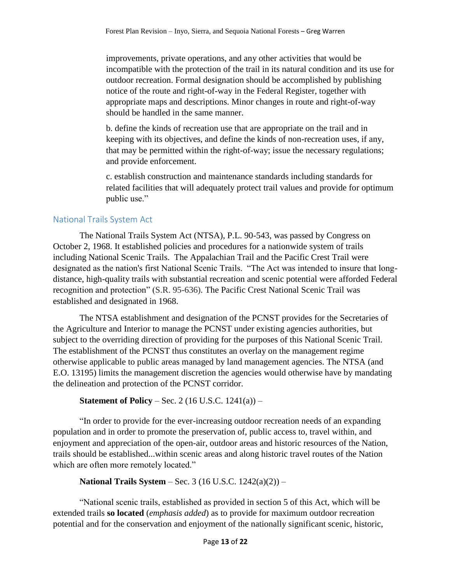improvements, private operations, and any other activities that would be incompatible with the protection of the trail in its natural condition and its use for outdoor recreation. Formal designation should be accomplished by publishing notice of the route and right-of-way in the Federal Register, together with appropriate maps and descriptions. Minor changes in route and right-of-way should be handled in the same manner.

b. define the kinds of recreation use that are appropriate on the trail and in keeping with its objectives, and define the kinds of non-recreation uses, if any, that may be permitted within the right-of-way; issue the necessary regulations; and provide enforcement.

c. establish construction and maintenance standards including standards for related facilities that will adequately protect trail values and provide for optimum public use."

# <span id="page-12-0"></span>National Trails System Act

The National Trails System Act (NTSA), P.L. 90-543, was passed by Congress on October 2, 1968. It established policies and procedures for a nationwide system of trails including National Scenic Trails. The Appalachian Trail and the Pacific Crest Trail were designated as the nation's first National Scenic Trails. "The Act was intended to insure that longdistance, high-quality trails with substantial recreation and scenic potential were afforded Federal recognition and protection" (S.R. 95-636). The Pacific Crest National Scenic Trail was established and designated in 1968.

The NTSA establishment and designation of the PCNST provides for the Secretaries of the Agriculture and Interior to manage the PCNST under existing agencies authorities, but subject to the overriding direction of providing for the purposes of this National Scenic Trail. The establishment of the PCNST thus constitutes an overlay on the management regime otherwise applicable to public areas managed by land management agencies. The NTSA (and E.O. 13195) limits the management discretion the agencies would otherwise have by mandating the delineation and protection of the PCNST corridor.

**Statement of Policy** – Sec. 2 (16 U.S.C. 1241(a)) –

"In order to provide for the ever-increasing outdoor recreation needs of an expanding population and in order to promote the preservation of, public access to, travel within, and enjoyment and appreciation of the open-air, outdoor areas and historic resources of the Nation, trails should be established...within scenic areas and along historic travel routes of the Nation which are often more remotely located."

**National Trails System** – Sec. 3 (16 U.S.C. 1242(a)(2)) –

"National scenic trails, established as provided in section 5 of this Act, which will be extended trails **so located** (*emphasis added*) as to provide for maximum outdoor recreation potential and for the conservation and enjoyment of the nationally significant scenic, historic,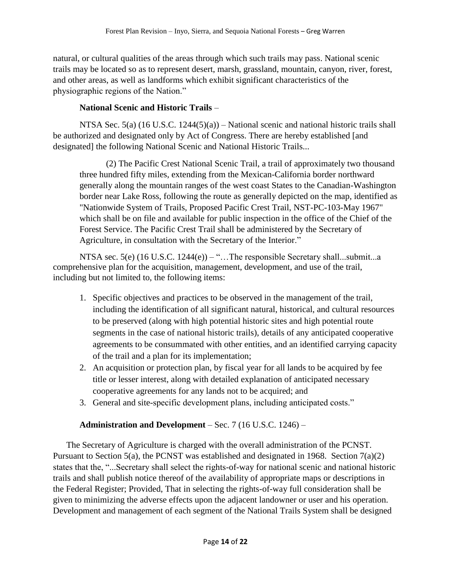natural, or cultural qualities of the areas through which such trails may pass. National scenic trails may be located so as to represent desert, marsh, grassland, mountain, canyon, river, forest, and other areas, as well as landforms which exhibit significant characteristics of the physiographic regions of the Nation."

# **National Scenic and Historic Trails** –

NTSA Sec. 5(a) (16 U.S.C. 1244(5)(a)) – National scenic and national historic trails shall be authorized and designated only by Act of Congress. There are hereby established [and designated] the following National Scenic and National Historic Trails...

(2) The Pacific Crest National Scenic Trail, a trail of approximately two thousand three hundred fifty miles, extending from the Mexican-California border northward generally along the mountain ranges of the west coast States to the Canadian-Washington border near Lake Ross, following the route as generally depicted on the map, identified as "Nationwide System of Trails, Proposed Pacific Crest Trail, NST-PC-103-May 1967" which shall be on file and available for public inspection in the office of the Chief of the Forest Service. The Pacific Crest Trail shall be administered by the Secretary of Agriculture, in consultation with the Secretary of the Interior."

NTSA sec. 5(e)  $(16$  U.S.C.  $1244(e)$ ) – "... The responsible Secretary shall...submit...a comprehensive plan for the acquisition, management, development, and use of the trail, including but not limited to, the following items:

- 1. Specific objectives and practices to be observed in the management of the trail, including the identification of all significant natural, historical, and cultural resources to be preserved (along with high potential historic sites and high potential route segments in the case of national historic trails), details of any anticipated cooperative agreements to be consummated with other entities, and an identified carrying capacity of the trail and a plan for its implementation;
- 2. An acquisition or protection plan, by fiscal year for all lands to be acquired by fee title or lesser interest, along with detailed explanation of anticipated necessary cooperative agreements for any lands not to be acquired; and
- 3. General and site-specific development plans, including anticipated costs."

# **Administration and Development** – Sec. 7 (16 U.S.C. 1246) –

The Secretary of Agriculture is charged with the overall administration of the PCNST. Pursuant to Section 5(a), the PCNST was established and designated in 1968. Section 7(a)(2) states that the, "...Secretary shall select the rights-of-way for national scenic and national historic trails and shall publish notice thereof of the availability of appropriate maps or descriptions in the Federal Register; Provided, That in selecting the rights-of-way full consideration shall be given to minimizing the adverse effects upon the adjacent landowner or user and his operation. Development and management of each segment of the National Trails System shall be designed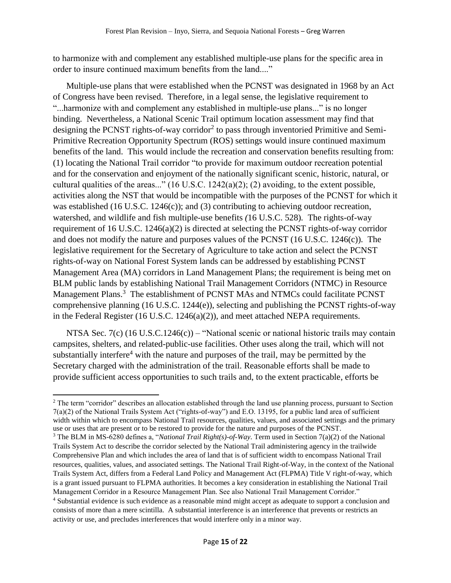to harmonize with and complement any established multiple-use plans for the specific area in order to insure continued maximum benefits from the land...."

Multiple-use plans that were established when the PCNST was designated in 1968 by an Act of Congress have been revised. Therefore, in a legal sense, the legislative requirement to "...harmonize with and complement any established in multiple-use plans..." is no longer binding. Nevertheless, a National Scenic Trail optimum location assessment may find that designing the PCNST rights-of-way corridor<sup>2</sup> to pass through inventoried Primitive and Semi-Primitive Recreation Opportunity Spectrum (ROS) settings would insure continued maximum benefits of the land. This would include the recreation and conservation benefits resulting from: (1) locating the National Trail corridor "to provide for maximum outdoor recreation potential and for the conservation and enjoyment of the nationally significant scenic, historic, natural, or cultural qualities of the areas..." (16 U.S.C. 1242(a)(2); (2) avoiding, to the extent possible, activities along the NST that would be incompatible with the purposes of the PCNST for which it was established (16 U.S.C. 1246(c)); and (3) contributing to achieving outdoor recreation, watershed, and wildlife and fish multiple-use benefits *(*16 U.S.C. 528)*.* The rights-of-way requirement of 16 U.S.C. 1246(a)(2) is directed at selecting the PCNST rights-of-way corridor and does not modify the nature and purposes values of the PCNST (16 U.S.C. 1246(c)). The legislative requirement for the Secretary of Agriculture to take action and select the PCNST rights-of-way on National Forest System lands can be addressed by establishing PCNST Management Area (MA) corridors in Land Management Plans; the requirement is being met on BLM public lands by establishing National Trail Management Corridors (NTMC) in Resource Management Plans.<sup>3</sup> The establishment of PCNST MAs and NTMCs could facilitate PCNST comprehensive planning (16 U.S.C. 1244(e)), selecting and publishing the PCNST rights-of-way in the Federal Register (16 U.S.C. 1246(a)(2)), and meet attached NEPA requirements.

NTSA Sec. 7(c) (16 U.S.C.1246(c)) – "National scenic or national historic trails may contain campsites, shelters, and related-public-use facilities. Other uses along the trail, which will not substantially interfere<sup>4</sup> with the nature and purposes of the trail, may be permitted by the Secretary charged with the administration of the trail. Reasonable efforts shall be made to provide sufficient access opportunities to such trails and, to the extent practicable, efforts be

l

<sup>&</sup>lt;sup>2</sup> The term "corridor" describes an allocation established through the land use planning process, pursuant to Section 7(a)(2) of the National Trails System Act ("rights-of-way") and E.O. 13195, for a public land area of sufficient width within which to encompass National Trail resources, qualities, values, and associated settings and the primary use or uses that are present or to be restored to provide for the nature and purposes of the PCNST.

<sup>3</sup> The BLM in MS-6280 defines a, "*National Trail Right(s)-of-Way*. Term used in Section 7(a)(2) of the National Trails System Act to describe the corridor selected by the National Trail administering agency in the trailwide Comprehensive Plan and which includes the area of land that is of sufficient width to encompass National Trail resources, qualities, values, and associated settings. The National Trail Right-of-Way, in the context of the National Trails System Act, differs from a Federal Land Policy and Management Act (FLPMA) Title V right-of-way, which is a grant issued pursuant to FLPMA authorities. It becomes a key consideration in establishing the National Trail Management Corridor in a Resource Management Plan. See also National Trail Management Corridor."

<sup>4</sup> Substantial evidence is such evidence as a reasonable mind might accept as adequate to support a conclusion and consists of more than a mere scintilla. A substantial interference is an interference that prevents or restricts an activity or use, and precludes interferences that would interfere only in a minor way.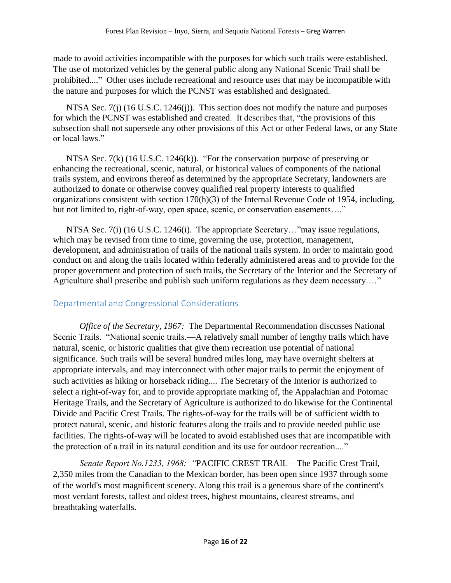made to avoid activities incompatible with the purposes for which such trails were established. The use of motorized vehicles by the general public along any National Scenic Trail shall be prohibited...." Other uses include recreational and resource uses that may be incompatible with the nature and purposes for which the PCNST was established and designated.

NTSA Sec. 7(j) (16 U.S.C. 1246(j)). This section does not modify the nature and purposes for which the PCNST was established and created. It describes that, "the provisions of this subsection shall not supersede any other provisions of this Act or other Federal laws, or any State or local laws."

NTSA Sec. 7(k) (16 U.S.C. 1246(k)). "For the conservation purpose of preserving or enhancing the recreational, scenic, natural, or historical values of components of the national trails system, and environs thereof as determined by the appropriate Secretary, landowners are authorized to donate or otherwise convey qualified real property interests to qualified organizations consistent with section 170(h)(3) of the Internal Revenue Code of 1954, including, but not limited to, right-of-way, open space, scenic, or conservation easements...."

NTSA Sec. 7(i) (16 U.S.C. 1246(i). The appropriate Secretary..."may issue regulations, which may be revised from time to time, governing the use, protection, management, development, and administration of trails of the national trails system. In order to maintain good conduct on and along the trails located within federally administered areas and to provide for the proper government and protection of such trails, the Secretary of the Interior and the Secretary of Agriculture shall prescribe and publish such uniform regulations as they deem necessary…."

# <span id="page-15-0"></span>Departmental and Congressional Considerations

*Office of the Secretary, 1967:* The Departmental Recommendation discusses National Scenic Trails. "National scenic trails.—A relatively small number of lengthy trails which have natural, scenic, or historic qualities that give them recreation use potential of national significance. Such trails will be several hundred miles long, may have overnight shelters at appropriate intervals, and may interconnect with other major trails to permit the enjoyment of such activities as hiking or horseback riding.... The Secretary of the Interior is authorized to select a right-of-way for, and to provide appropriate marking of, the Appalachian and Potomac Heritage Trails, and the Secretary of Agriculture is authorized to do likewise for the Continental Divide and Pacific Crest Trails. The rights-of-way for the trails will be of sufficient width to protect natural, scenic, and historic features along the trails and to provide needed public use facilities. The rights-of-way will be located to avoid established uses that are incompatible with the protection of a trail in its natural condition and its use for outdoor recreation...."

*Senate Report No.1233, 1968: "*PACIFIC CREST TRAIL – The Pacific Crest Trail, 2,350 miles from the Canadian to the Mexican border, has been open since 1937 through some of the world's most magnificent scenery. Along this trail is a generous share of the continent's most verdant forests, tallest and oldest trees, highest mountains, clearest streams, and breathtaking waterfalls.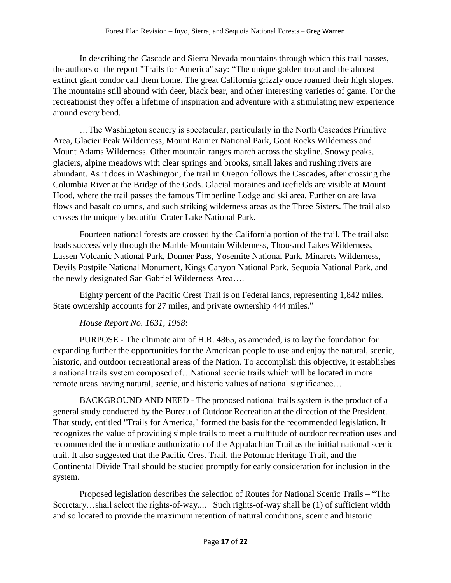In describing the Cascade and Sierra Nevada mountains through which this trail passes, the authors of the report "Trails for America" say: "The unique golden trout and the almost extinct giant condor call them home. The great California grizzly once roamed their high slopes. The mountains still abound with deer, black bear, and other interesting varieties of game. For the recreationist they offer a lifetime of inspiration and adventure with a stimulating new experience around every bend.

…The Washington scenery is spectacular, particularly in the North Cascades Primitive Area, Glacier Peak Wilderness, Mount Rainier National Park, Goat Rocks Wilderness and Mount Adams Wilderness. Other mountain ranges march across the skyline. Snowy peaks, glaciers, alpine meadows with clear springs and brooks, small lakes and rushing rivers are abundant. As it does in Washington, the trail in Oregon follows the Cascades, after crossing the Columbia River at the Bridge of the Gods. Glacial moraines and icefields are visible at Mount Hood, where the trail passes the famous Timberline Lodge and ski area. Further on are lava flows and basalt columns, and such striking wilderness areas as the Three Sisters. The trail also crosses the uniquely beautiful Crater Lake National Park.

Fourteen national forests are crossed by the California portion of the trail. The trail also leads successively through the Marble Mountain Wilderness, Thousand Lakes Wilderness, Lassen Volcanic National Park, Donner Pass, Yosemite National Park, Minarets Wilderness, Devils Postpile National Monument, Kings Canyon National Park, Sequoia National Park, and the newly designated San Gabriel Wilderness Area….

Eighty percent of the Pacific Crest Trail is on Federal lands, representing 1,842 miles. State ownership accounts for 27 miles, and private ownership 444 miles."

### *House Report No. 1631, 1968*:

PURPOSE - The ultimate aim of H.R. 4865, as amended, is to lay the foundation for expanding further the opportunities for the American people to use and enjoy the natural, scenic, historic, and outdoor recreational areas of the Nation. To accomplish this objective, it establishes a national trails system composed of…National scenic trails which will be located in more remote areas having natural, scenic, and historic values of national significance….

BACKGROUND AND NEED - The proposed national trails system is the product of a general study conducted by the Bureau of Outdoor Recreation at the direction of the President. That study, entitled "Trails for America," formed the basis for the recommended legislation. It recognizes the value of providing simple trails to meet a multitude of outdoor recreation uses and recommended the immediate authorization of the Appalachian Trail as the initial national scenic trail. It also suggested that the Pacific Crest Trail, the Potomac Heritage Trail, and the Continental Divide Trail should be studied promptly for early consideration for inclusion in the system.

Proposed legislation describes the *s*election of Routes for National Scenic Trails – "The Secretary…shall select the rights-of-way.... Such rights-of-way shall be (1) of sufficient width and so located to provide the maximum retention of natural conditions, scenic and historic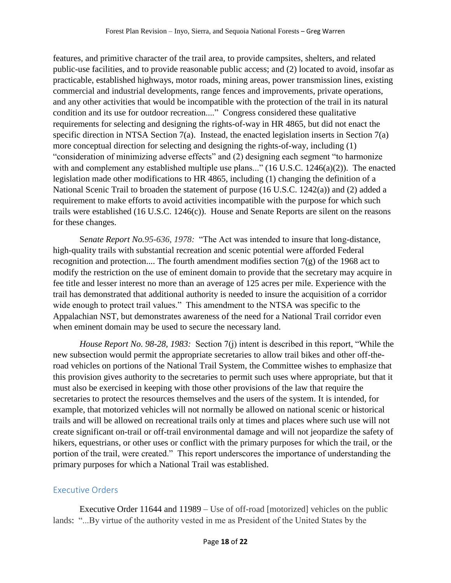features, and primitive character of the trail area, to provide campsites, shelters, and related public-use facilities, and to provide reasonable public access; and (2) located to avoid, insofar as practicable, established highways, motor roads, mining areas, power transmission lines, existing commercial and industrial developments, range fences and improvements, private operations, and any other activities that would be incompatible with the protection of the trail in its natural condition and its use for outdoor recreation...." Congress considered these qualitative requirements for selecting and designing the rights-of-way in HR 4865, but did not enact the specific direction in NTSA Section 7(a). Instead, the enacted legislation inserts in Section 7(a) more conceptual direction for selecting and designing the rights-of-way, including (1) "consideration of minimizing adverse effects" and (2) designing each segment "to harmonize with and complement any established multiple use plans..." (16 U.S.C. 1246(a)(2)). The enacted legislation made other modifications to HR 4865, including (1) changing the definition of a National Scenic Trail to broaden the statement of purpose (16 U.S.C. 1242(a)) and (2) added a requirement to make efforts to avoid activities incompatible with the purpose for which such trails were established (16 U.S.C. 1246(c)). House and Senate Reports are silent on the reasons for these changes.

S*enate Report No.95-636, 1978:* "The Act was intended to insure that long-distance, high-quality trails with substantial recreation and scenic potential were afforded Federal recognition and protection.... The fourth amendment modifies section  $7(g)$  of the 1968 act to modify the restriction on the use of eminent domain to provide that the secretary may acquire in fee title and lesser interest no more than an average of 125 acres per mile. Experience with the trail has demonstrated that additional authority is needed to insure the acquisition of a corridor wide enough to protect trail values." This amendment to the NTSA was specific to the Appalachian NST, but demonstrates awareness of the need for a National Trail corridor even when eminent domain may be used to secure the necessary land.

*House Report No. 98-28, 1983:* Section 7(j) intent is described in this report, "While the new subsection would permit the appropriate secretaries to allow trail bikes and other off-theroad vehicles on portions of the National Trail System, the Committee wishes to emphasize that this provision gives authority to the secretaries to permit such uses where appropriate, but that it must also be exercised in keeping with those other provisions of the law that require the secretaries to protect the resources themselves and the users of the system. It is intended, for example, that motorized vehicles will not normally be allowed on national scenic or historical trails and will be allowed on recreational trails only at times and places where such use will not create significant on-trail or off-trail environmental damage and will not jeopardize the safety of hikers, equestrians, or other uses or conflict with the primary purposes for which the trail, or the portion of the trail, were created." This report underscores the importance of understanding the primary purposes for which a National Trail was established.

# <span id="page-17-0"></span>Executive Orders

Executive Order 11644 and 11989 – Use of off-road [motorized] vehicles on the public lands: "...By virtue of the authority vested in me as President of the United States by the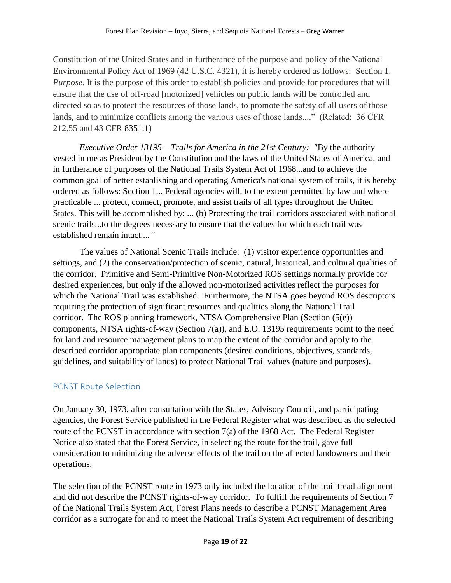Constitution of the United States and in furtherance of the purpose and policy of the National Environmental Policy Act of 1969 (42 U.S.C. 4321), it is hereby ordered as follows: Section 1. *Purpose.* It is the purpose of this order to establish policies and provide for procedures that will ensure that the use of off-road [motorized] vehicles on public lands will be controlled and directed so as to protect the resources of those lands, to promote the safety of all users of those lands, and to minimize conflicts among the various uses of those lands...." (Related: 36 CFR 212.55 and 43 CFR 8351.1)

*Executive Order 13195 – Trails for America in the 21st Century: "*By the authority vested in me as President by the Constitution and the laws of the United States of America, and in furtherance of purposes of the National Trails System Act of 1968...and to achieve the common goal of better establishing and operating America's national system of trails, it is hereby ordered as follows: Section 1... Federal agencies will, to the extent permitted by law and where practicable ... protect, connect, promote, and assist trails of all types throughout the United States. This will be accomplished by: ... (b) Protecting the trail corridors associated with national scenic trails...to the degrees necessary to ensure that the values for which each trail was established remain intact....*"*

The values of National Scenic Trails include: (1) visitor experience opportunities and settings, and (2) the conservation/protection of scenic, natural, historical, and cultural qualities of the corridor. Primitive and Semi-Primitive Non-Motorized ROS settings normally provide for desired experiences, but only if the allowed non-motorized activities reflect the purposes for which the National Trail was established. Furthermore, the NTSA goes beyond ROS descriptors requiring the protection of significant resources and qualities along the National Trail corridor. The ROS planning framework, NTSA Comprehensive Plan (Section (5(e)) components, NTSA rights-of-way (Section 7(a)), and E.O. 13195 requirements point to the need for land and resource management plans to map the extent of the corridor and apply to the described corridor appropriate plan components (desired conditions, objectives, standards, guidelines, and suitability of lands) to protect National Trail values (nature and purposes).

# <span id="page-18-0"></span>PCNST Route Selection

On January 30, 1973, after consultation with the States, Advisory Council, and participating agencies, the Forest Service published in the Federal Register what was described as the selected route of the PCNST in accordance with section 7(a) of the 1968 Act. The Federal Register Notice also stated that the Forest Service, in selecting the route for the trail, gave full consideration to minimizing the adverse effects of the trail on the affected landowners and their operations.

The selection of the PCNST route in 1973 only included the location of the trail tread alignment and did not describe the PCNST rights-of-way corridor. To fulfill the requirements of Section 7 of the National Trails System Act, Forest Plans needs to describe a PCNST Management Area corridor as a surrogate for and to meet the National Trails System Act requirement of describing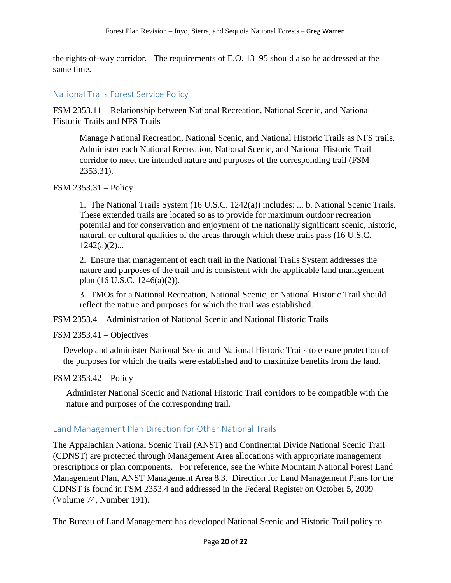the rights-of-way corridor. The requirements of E.O. 13195 should also be addressed at the same time.

### <span id="page-19-0"></span>National Trails Forest Service Policy

FSM 2353.11 – Relationship between National Recreation, National Scenic, and National Historic Trails and NFS Trails

Manage National Recreation, National Scenic, and National Historic Trails as NFS trails. Administer each National Recreation, National Scenic, and National Historic Trail corridor to meet the intended nature and purposes of the corresponding trail (FSM 2353.31).

### FSM 2353.31 – Policy

1. The National Trails System (16 U.S.C. 1242(a)) includes: ... b. National Scenic Trails. These extended trails are located so as to provide for maximum outdoor recreation potential and for conservation and enjoyment of the nationally significant scenic, historic, natural, or cultural qualities of the areas through which these trails pass (16 U.S.C.  $1242(a)(2)...$ 

2. Ensure that management of each trail in the National Trails System addresses the nature and purposes of the trail and is consistent with the applicable land management plan (16 U.S.C. 1246(a)(2)).

3. TMOs for a National Recreation, National Scenic, or National Historic Trail should reflect the nature and purposes for which the trail was established.

FSM 2353.4 – Administration of National Scenic and National Historic Trails

FSM 2353.41 – Objectives

Develop and administer National Scenic and National Historic Trails to ensure protection of the purposes for which the trails were established and to maximize benefits from the land.

FSM 2353.42 – Policy

Administer National Scenic and National Historic Trail corridors to be compatible with the nature and purposes of the corresponding trail.

# <span id="page-19-1"></span>Land Management Plan Direction for Other National Trails

The Appalachian National Scenic Trail (ANST) and Continental Divide National Scenic Trail (CDNST) are protected through Management Area allocations with appropriate management prescriptions or plan components. For reference, see the White Mountain National Forest Land Management Plan, ANST Management Area 8.3. Direction for Land Management Plans for the CDNST is found in FSM 2353.4 and addressed in the Federal Register on October 5, 2009 (Volume 74, Number 191).

The Bureau of Land Management has developed National Scenic and Historic Trail policy to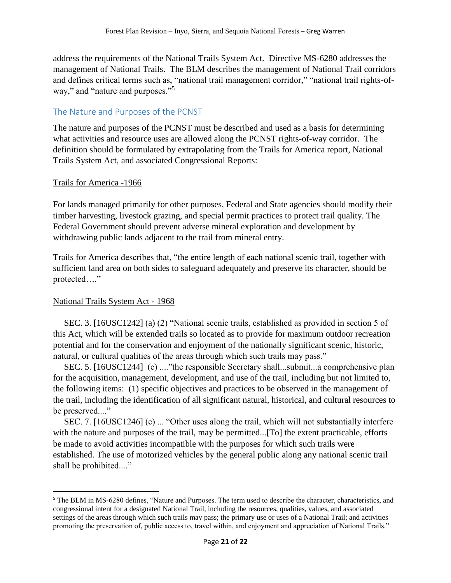address the requirements of the National Trails System Act. Directive MS-6280 addresses the management of National Trails. The BLM describes the management of National Trail corridors and defines critical terms such as, "national trail management corridor," "national trail rights-ofway," and "nature and purposes."<sup>5</sup>

### <span id="page-20-0"></span>The Nature and Purposes of the PCNST

The nature and purposes of the PCNST must be described and used as a basis for determining what activities and resource uses are allowed along the PCNST rights-of-way corridor. The definition should be formulated by extrapolating from the Trails for America report, National Trails System Act, and associated Congressional Reports:

### Trails for America -1966

For lands managed primarily for other purposes, Federal and State agencies should modify their timber harvesting, livestock grazing, and special permit practices to protect trail quality. The Federal Government should prevent adverse mineral exploration and development by withdrawing public lands adjacent to the trail from mineral entry.

Trails for America describes that, "the entire length of each national scenic trail, together with sufficient land area on both sides to safeguard adequately and preserve its character, should be protected…."

### National Trails System Act - 1968

 $\overline{\phantom{a}}$ 

 SEC. 3. [16USC1242] (a) (2) "National scenic trails, established as provided in section 5 of this Act, which will be extended trails so located as to provide for maximum outdoor recreation potential and for the conservation and enjoyment of the nationally significant scenic, historic, natural, or cultural qualities of the areas through which such trails may pass."

 SEC. 5. [16USC1244] (e) ...."the responsible Secretary shall...submit...a comprehensive plan for the acquisition, management, development, and use of the trail, including but not limited to, the following items: (1) specific objectives and practices to be observed in the management of the trail, including the identification of all significant natural, historical, and cultural resources to be preserved...."

 SEC. 7. [16USC1246] (c) ... "Other uses along the trail, which will not substantially interfere with the nature and purposes of the trail, may be permitted...[To] the extent practicable, efforts be made to avoid activities incompatible with the purposes for which such trails were established. The use of motorized vehicles by the general public along any national scenic trail shall be prohibited...."

<sup>5</sup> The BLM in MS-6280 defines, "Nature and Purposes. The term used to describe the character, characteristics, and congressional intent for a designated National Trail, including the resources, qualities, values, and associated settings of the areas through which such trails may pass; the primary use or uses of a National Trail; and activities promoting the preservation of, public access to, travel within, and enjoyment and appreciation of National Trails."